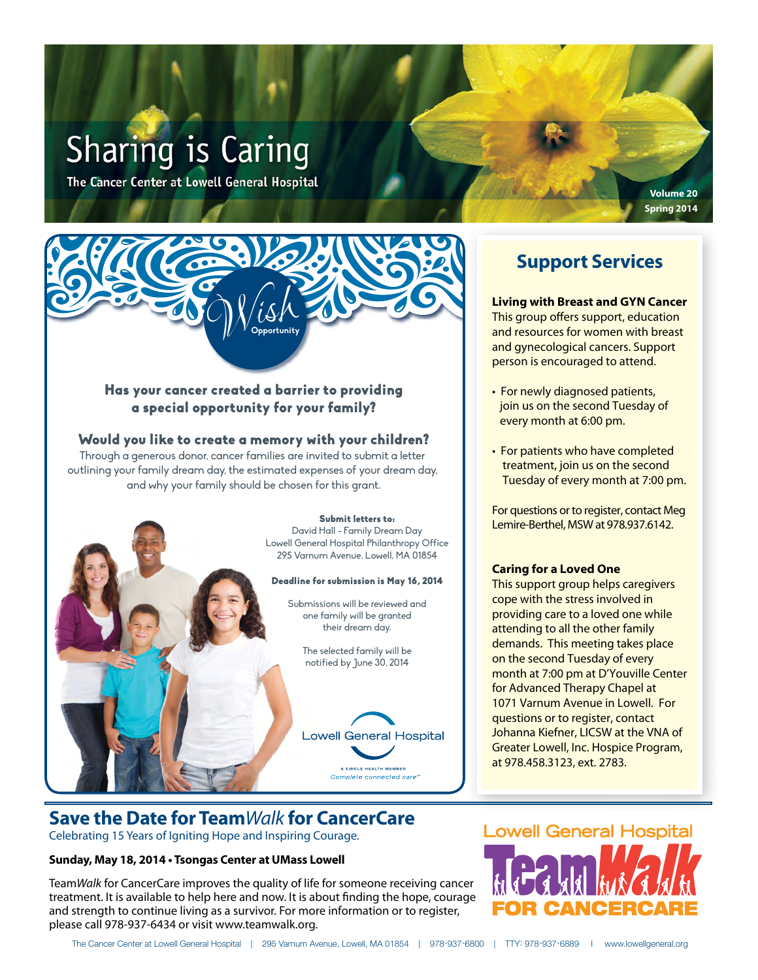# **Sharing is Caring**

The Cancer Center at Lowell General Hospital

#### Has your cancer created a barrier to providing a special opportunity for your family?

Wish **Opportunity**

#### Would you like to create a memory with your children?

Through a generous donor, cancer families are invited to submit a letter outlining your family dream day, the estimated expenses of your dream day, and why your family should be chosen for this grant.



# **Save the Date for Team***Walk* **for CancerCare**

Celebrating 15 Years of Igniting Hope and Inspiring Courage*.*

#### **Sunday, May 18, 2014 • Tsongas Center at UMass Lowell**

Team*Walk* for CancerCare improves the quality of life for someone receiving cancer treatment. It is available to help here and now. It is about finding the hope, courage and strength to continue living as a survivor. For more information or to register, please call 978-937-6434 or visit www.teamwalk.org.

# **Support Services**

**Volume 20 Spring 2014**

#### **Living with Breast and GYN Cancer**

This group offers support, education and resources for women with breast and gynecological cancers. Support person is encouraged to attend.

- For newly diagnosed patients, join us on the second Tuesday of every month at 6:00 pm.
- For patients who have completed treatment, join us on the second Tuesday of every month at 7:00 pm.

For questions or to register, contact Meg Lemire-Berthel, MSW at 978.937.6142.

#### **Caring for a Loved One**

This support group helps caregivers cope with the stress involved in providing care to a loved one while attending to all the other family demands. This meeting takes place on the second Tuesday of every month at 7:00 pm at D'Youville Center for Advanced Therapy Chapel at 1071 Varnum Avenue in Lowell. For questions or to register, contact Johanna Kiefner, LICSW at the VNA of Greater Lowell, Inc. Hospice Program, at 978.458.3123, ext. 2783.